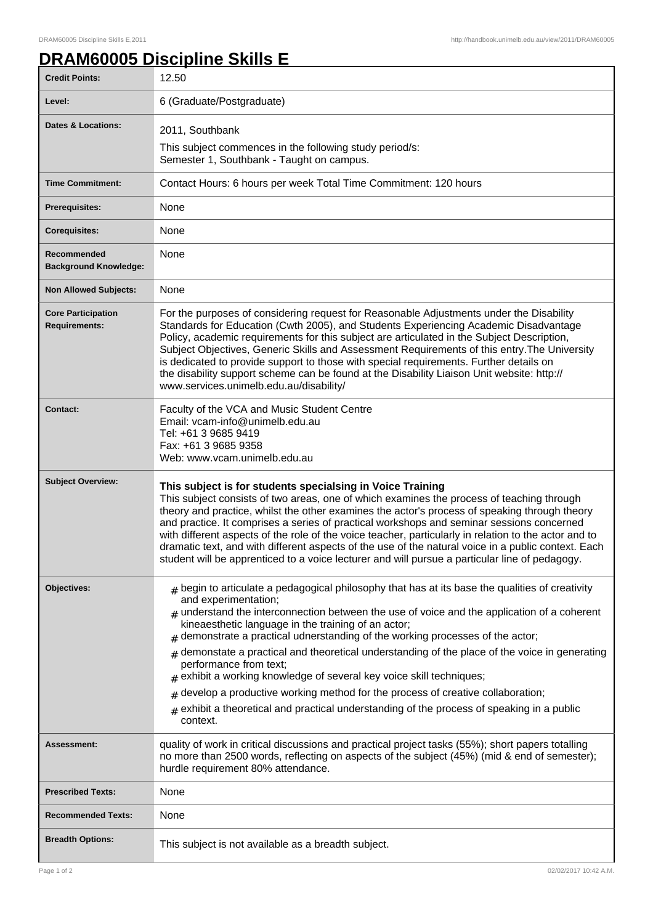ı

## **DRAM60005 Discipline Skills E**

| <b>Credit Points:</b>                             | 12.50                                                                                                                                                                                                                                                                                                                                                                                                                                                                                                                                                                                                                                                                                                                                                                 |
|---------------------------------------------------|-----------------------------------------------------------------------------------------------------------------------------------------------------------------------------------------------------------------------------------------------------------------------------------------------------------------------------------------------------------------------------------------------------------------------------------------------------------------------------------------------------------------------------------------------------------------------------------------------------------------------------------------------------------------------------------------------------------------------------------------------------------------------|
| Level:                                            | 6 (Graduate/Postgraduate)                                                                                                                                                                                                                                                                                                                                                                                                                                                                                                                                                                                                                                                                                                                                             |
| <b>Dates &amp; Locations:</b>                     | 2011, Southbank<br>This subject commences in the following study period/s:<br>Semester 1, Southbank - Taught on campus.                                                                                                                                                                                                                                                                                                                                                                                                                                                                                                                                                                                                                                               |
| <b>Time Commitment:</b>                           | Contact Hours: 6 hours per week Total Time Commitment: 120 hours                                                                                                                                                                                                                                                                                                                                                                                                                                                                                                                                                                                                                                                                                                      |
| <b>Prerequisites:</b>                             | None                                                                                                                                                                                                                                                                                                                                                                                                                                                                                                                                                                                                                                                                                                                                                                  |
| <b>Corequisites:</b>                              | None                                                                                                                                                                                                                                                                                                                                                                                                                                                                                                                                                                                                                                                                                                                                                                  |
| Recommended<br><b>Background Knowledge:</b>       | None                                                                                                                                                                                                                                                                                                                                                                                                                                                                                                                                                                                                                                                                                                                                                                  |
| <b>Non Allowed Subjects:</b>                      | None                                                                                                                                                                                                                                                                                                                                                                                                                                                                                                                                                                                                                                                                                                                                                                  |
| <b>Core Participation</b><br><b>Requirements:</b> | For the purposes of considering request for Reasonable Adjustments under the Disability<br>Standards for Education (Cwth 2005), and Students Experiencing Academic Disadvantage<br>Policy, academic requirements for this subject are articulated in the Subject Description,<br>Subject Objectives, Generic Skills and Assessment Requirements of this entry. The University<br>is dedicated to provide support to those with special requirements. Further details on<br>the disability support scheme can be found at the Disability Liaison Unit website: http://<br>www.services.unimelb.edu.au/disability/                                                                                                                                                      |
| <b>Contact:</b>                                   | Faculty of the VCA and Music Student Centre<br>Email: vcam-info@unimelb.edu.au<br>Tel: +61 3 9685 9419<br>Fax: +61 3 9685 9358<br>Web: www.vcam.unimelb.edu.au                                                                                                                                                                                                                                                                                                                                                                                                                                                                                                                                                                                                        |
| <b>Subject Overview:</b>                          | This subject is for students specialsing in Voice Training<br>This subject consists of two areas, one of which examines the process of teaching through<br>theory and practice, whilst the other examines the actor's process of speaking through theory<br>and practice. It comprises a series of practical workshops and seminar sessions concerned<br>with different aspects of the role of the voice teacher, particularly in relation to the actor and to<br>dramatic text, and with different aspects of the use of the natural voice in a public context. Each<br>student will be apprenticed to a voice lecturer and will pursue a particular line of pedagogy.                                                                                               |
| Objectives:                                       | $#$ begin to articulate a pedagogical philosophy that has at its base the qualities of creativity<br>and experimentation;<br>$#$ understand the interconnection between the use of voice and the application of a coherent<br>kineaesthetic language in the training of an actor;<br>demonstrate a practical udnerstanding of the working processes of the actor;<br>demonstate a practical and theoretical understanding of the place of the voice in generating<br>#<br>performance from text;<br>exhibit a working knowledge of several key voice skill techniques;<br>develop a productive working method for the process of creative collaboration;<br>#<br>exhibit a theoretical and practical understanding of the process of speaking in a public<br>context. |
| <b>Assessment:</b>                                | quality of work in critical discussions and practical project tasks (55%); short papers totalling<br>no more than 2500 words, reflecting on aspects of the subject (45%) (mid & end of semester);<br>hurdle requirement 80% attendance.                                                                                                                                                                                                                                                                                                                                                                                                                                                                                                                               |
| <b>Prescribed Texts:</b>                          | None                                                                                                                                                                                                                                                                                                                                                                                                                                                                                                                                                                                                                                                                                                                                                                  |
| <b>Recommended Texts:</b>                         | None                                                                                                                                                                                                                                                                                                                                                                                                                                                                                                                                                                                                                                                                                                                                                                  |
| <b>Breadth Options:</b>                           | This subject is not available as a breadth subject.                                                                                                                                                                                                                                                                                                                                                                                                                                                                                                                                                                                                                                                                                                                   |